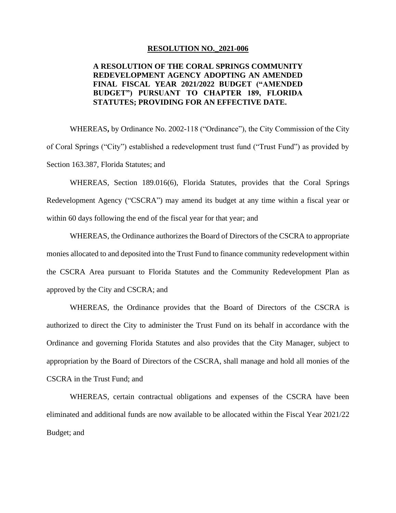## **RESOLUTION NO.\_2021-006**

## **FINAL FISCAL YEAR 2021/2022 BUDGET ("AMENDED A RESOLUTION OF THE CORAL SPRINGS COMMUNITY REDEVELOPMENT AGENCY ADOPTING AN AMENDED BUDGET") PURSUANT TO CHAPTER 189, FLORIDA STATUTES; PROVIDING FOR AN EFFECTIVE DATE.**

WHEREAS**,** by Ordinance No. 2002-118 ("Ordinance"), the City Commission of the City of Coral Springs ("City") established a redevelopment trust fund ("Trust Fund") as provided by Section 163.387, Florida Statutes; and

WHEREAS, Section 189.016(6), Florida Statutes, provides that the Coral Springs Redevelopment Agency ("CSCRA") may amend its budget at any time within a fiscal year or within 60 days following the end of the fiscal year for that year; and

WHEREAS, the Ordinance authorizes the Board of Directors of the CSCRA to appropriate monies allocated to and deposited into the Trust Fund to finance community redevelopment within the CSCRA Area pursuant to Florida Statutes and the Community Redevelopment Plan as approved by the City and CSCRA; and

 WHEREAS, the Ordinance provides that the Board of Directors of the CSCRA is authorized to direct the City to administer the Trust Fund on its behalf in accordance with the appropriation by the Board of Directors of the CSCRA, shall manage and hold all monies of the Ordinance and governing Florida Statutes and also provides that the City Manager, subject to CSCRA in the Trust Fund; and

 WHEREAS, certain contractual obligations and expenses of the CSCRA have been eliminated and additional funds are now available to be allocated within the Fiscal Year 2021/22 Budget; and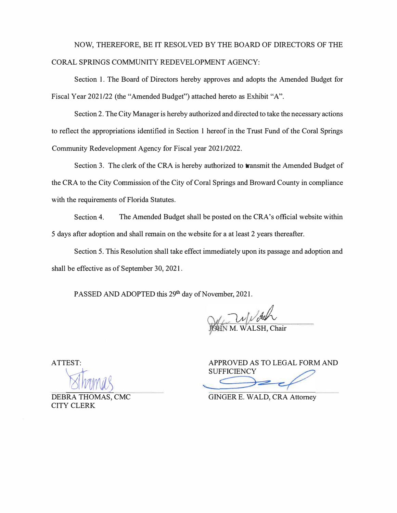## NOW, THEREFORE, BE IT RESOLVED BY THE BOARD OF DIRECTORS OF THE CORAL SPRINGS COMMUNITY REDEVELOPMENT AGENCY:

Section 1. The Board of Directors hereby approves and adopts the Amended Budget for Fiscal Year 2021/22 (the "Amended Budget") attached hereto as Exhibit "A".

Section 2. The City Manager is hereby authorized and directed to take the necessary actions to reflect the appropriations identified in Section 1 hereof in the Trust Fund of the Coral Springs Community Redevelopment Agency for Fiscal year 2021/2022.

Section 3. The clerk of the CRA is hereby authorized to transmit the Amended Budget of the CRA to the City Commission of the City of Coral Springs and Broward County in compliance with the requirements of Florida Statutes.

Section 4. The Amended Budget shall be posted on the CRA's official website within 5 days after adoption and shall remain on the website for a at least 2 years thereafter.

Section 5. This Resolution shall take effect immediately upon its passage and adoption and shall be effective as of September 30, 2021.

PASSED AND ADOPTED this 29<sup>th</sup> day of November, 2021.

WALSH, Chair

APPROVED AS TO LEGAL FORM AND **SUFFICIENCY** 

GINGER E. WALD, CRA Attorney

**BEBRA THOMAS, CMC** CITY CLERK

ATTEST: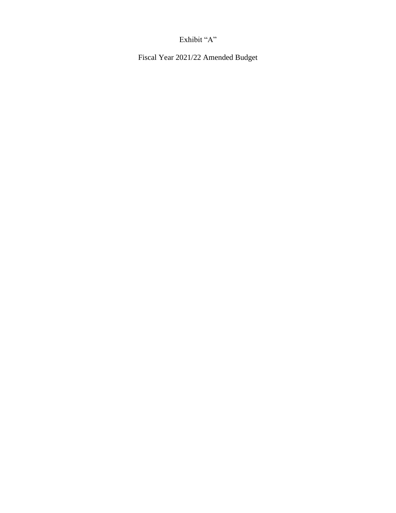## Exhibit "A"

Fiscal Year 2021/22 Amended Budget